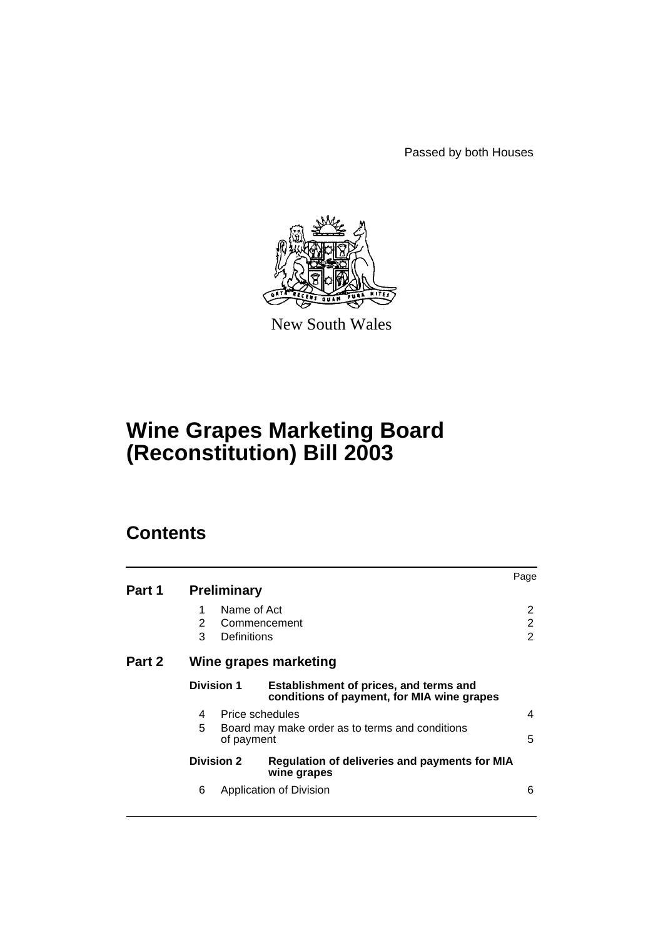Passed by both Houses



New South Wales

## **Wine Grapes Marketing Board (Reconstitution) Bill 2003**

## **Contents**

| Part 1 |                   | <b>Preliminary</b>                                                               |                                                                                      | Page        |  |  |
|--------|-------------------|----------------------------------------------------------------------------------|--------------------------------------------------------------------------------------|-------------|--|--|
|        | 1<br>2<br>3       | Name of Act<br>Definitions                                                       | Commencement                                                                         | 2<br>2<br>2 |  |  |
| Part 2 |                   | Wine grapes marketing                                                            |                                                                                      |             |  |  |
|        | <b>Division 1</b> |                                                                                  | Establishment of prices, and terms and<br>conditions of payment, for MIA wine grapes |             |  |  |
|        | 4<br>5            | Price schedules<br>Board may make order as to terms and conditions<br>of payment |                                                                                      |             |  |  |
|        |                   | <b>Division 2</b>                                                                | Regulation of deliveries and payments for MIA<br>wine grapes                         |             |  |  |
|        | 6                 |                                                                                  | Application of Division                                                              | 6           |  |  |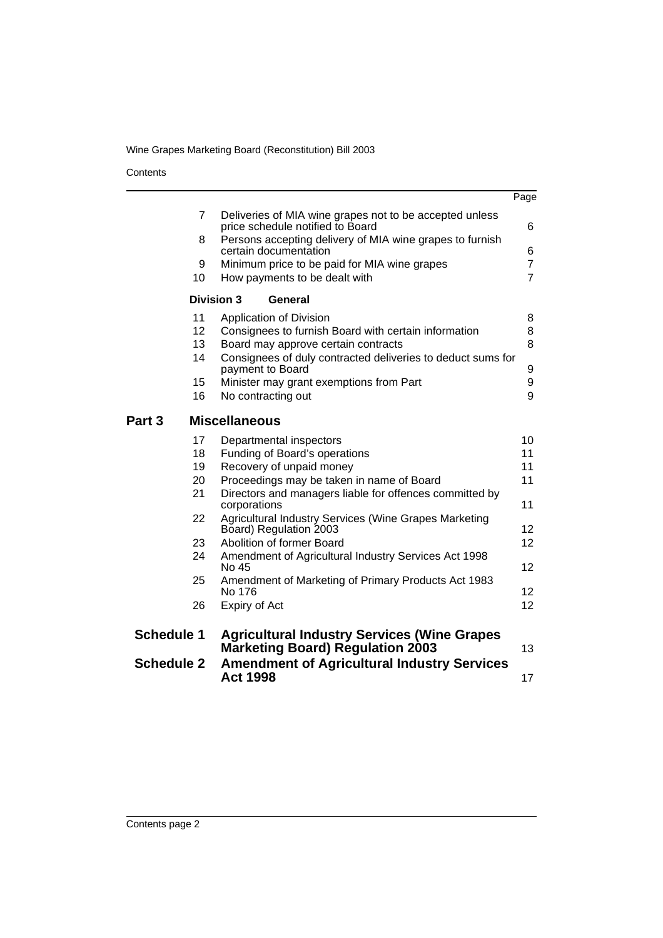**Contents** 

|                                                                         |                                                                                             | Page            |  |  |  |
|-------------------------------------------------------------------------|---------------------------------------------------------------------------------------------|-----------------|--|--|--|
| $\overline{7}$                                                          | Deliveries of MIA wine grapes not to be accepted unless<br>price schedule notified to Board | 6               |  |  |  |
| 8                                                                       | Persons accepting delivery of MIA wine grapes to furnish<br>certain documentation           | 6               |  |  |  |
| 9                                                                       | Minimum price to be paid for MIA wine grapes                                                | $\overline{7}$  |  |  |  |
| 10                                                                      | How payments to be dealt with                                                               | $\overline{7}$  |  |  |  |
| <b>Division 3</b>                                                       | General                                                                                     |                 |  |  |  |
| 11                                                                      | Application of Division                                                                     | 8               |  |  |  |
| 12                                                                      | Consignees to furnish Board with certain information                                        | 8               |  |  |  |
| 13                                                                      | Board may approve certain contracts                                                         | 8               |  |  |  |
| 14                                                                      | Consignees of duly contracted deliveries to deduct sums for<br>payment to Board             | 9               |  |  |  |
| 15                                                                      | Minister may grant exemptions from Part                                                     | 9               |  |  |  |
| 16                                                                      | No contracting out                                                                          | 9               |  |  |  |
| Part 3                                                                  | <b>Miscellaneous</b>                                                                        |                 |  |  |  |
| 17                                                                      | Departmental inspectors                                                                     | 10              |  |  |  |
| 18                                                                      | Funding of Board's operations                                                               | 11              |  |  |  |
| 19                                                                      | Recovery of unpaid money                                                                    | 11              |  |  |  |
| 20                                                                      | Proceedings may be taken in name of Board                                                   | 11              |  |  |  |
| 21                                                                      | Directors and managers liable for offences committed by<br>corporations                     | 11              |  |  |  |
| 22                                                                      | Agricultural Industry Services (Wine Grapes Marketing<br>Board) Regulation 2003             | 12 <sup>2</sup> |  |  |  |
| 23                                                                      | Abolition of former Board                                                                   | 12 <sup>2</sup> |  |  |  |
| 24                                                                      | Amendment of Agricultural Industry Services Act 1998<br>No 45                               | 12 <sup>2</sup> |  |  |  |
| 25                                                                      | Amendment of Marketing of Primary Products Act 1983<br>No 176                               | 12 <sup>2</sup> |  |  |  |
| 26                                                                      | Expiry of Act                                                                               | 12              |  |  |  |
| <b>Schedule 1</b><br><b>Agricultural Industry Services (Wine Grapes</b> |                                                                                             |                 |  |  |  |
|                                                                         | <b>Marketing Board) Regulation 2003</b>                                                     | 13              |  |  |  |
| <b>Schedule 2</b>                                                       | <b>Amendment of Agricultural Industry Services</b><br><b>Act 1998</b>                       | 17              |  |  |  |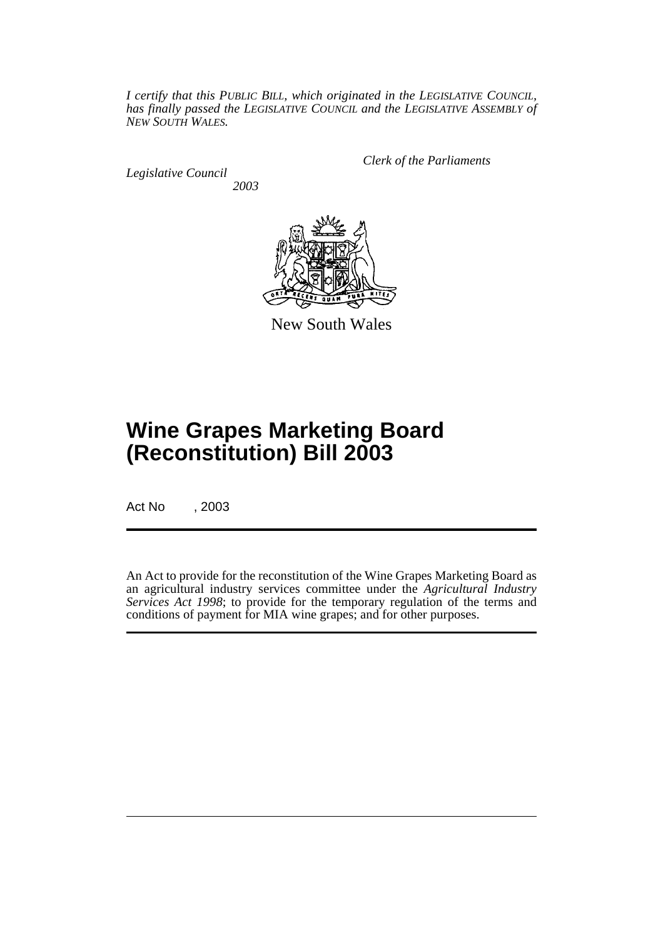*I certify that this PUBLIC BILL, which originated in the LEGISLATIVE COUNCIL, has finally passed the LEGISLATIVE COUNCIL and the LEGISLATIVE ASSEMBLY of NEW SOUTH WALES.*

*Legislative Council 2003* *Clerk of the Parliaments*



New South Wales

# **Wine Grapes Marketing Board (Reconstitution) Bill 2003**

Act No , 2003

An Act to provide for the reconstitution of the Wine Grapes Marketing Board as an agricultural industry services committee under the *Agricultural Industry Services Act 1998*; to provide for the temporary regulation of the terms and conditions of payment for MIA wine grapes; and for other purposes.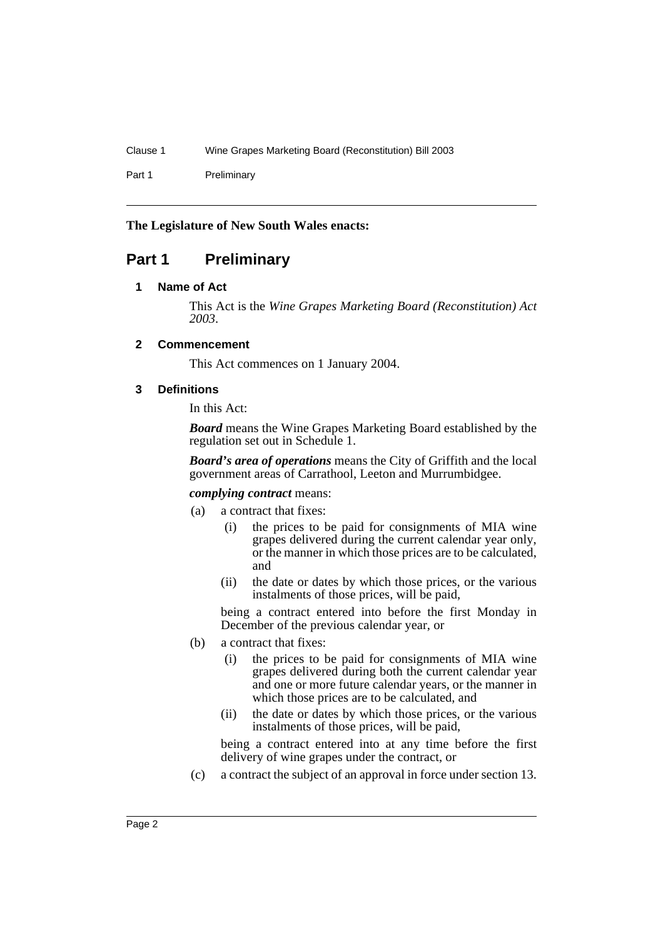Part 1 Preliminary

#### **The Legislature of New South Wales enacts:**

## **Part 1 Preliminary**

#### **1 Name of Act**

This Act is the *Wine Grapes Marketing Board (Reconstitution) Act 2003*.

#### **2 Commencement**

This Act commences on 1 January 2004.

#### **3 Definitions**

In this Act:

*Board* means the Wine Grapes Marketing Board established by the regulation set out in Schedule 1.

*Board's area of operations* means the City of Griffith and the local government areas of Carrathool, Leeton and Murrumbidgee.

#### *complying contract* means:

- (a) a contract that fixes:
	- (i) the prices to be paid for consignments of MIA wine grapes delivered during the current calendar year only, or the manner in which those prices are to be calculated, and
	- (ii) the date or dates by which those prices, or the various instalments of those prices, will be paid,

being a contract entered into before the first Monday in December of the previous calendar year, or

- (b) a contract that fixes:
	- (i) the prices to be paid for consignments of MIA wine grapes delivered during both the current calendar year and one or more future calendar years, or the manner in which those prices are to be calculated, and
	- (ii) the date or dates by which those prices, or the various instalments of those prices, will be paid,

being a contract entered into at any time before the first delivery of wine grapes under the contract, or

(c) a contract the subject of an approval in force under section 13.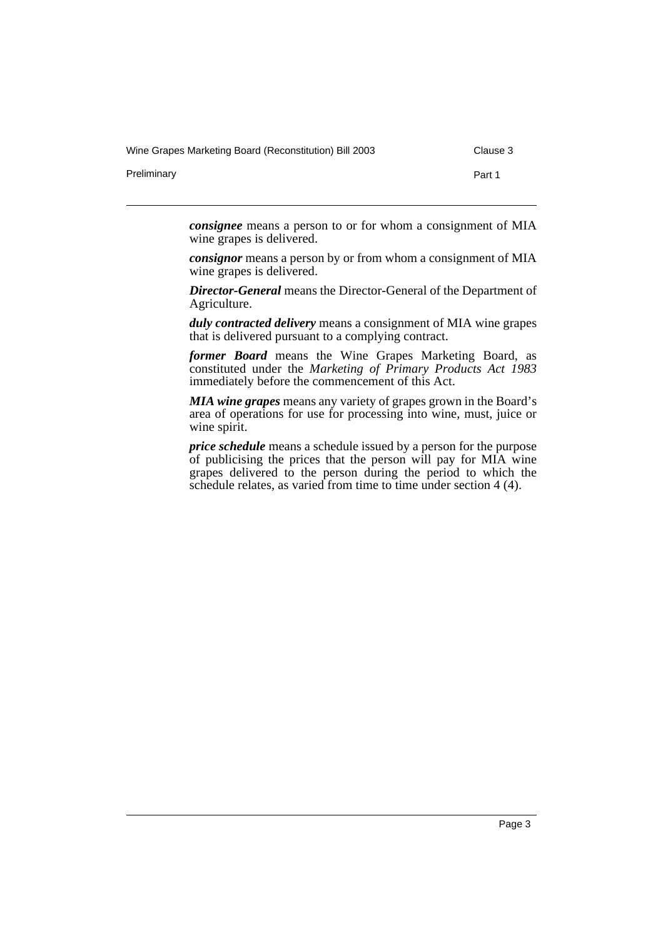Wine Grapes Marketing Board (Reconstitution) Bill 2003 Clause 3

Preliminary **Part 1** 

*consignee* means a person to or for whom a consignment of MIA wine grapes is delivered.

*consignor* means a person by or from whom a consignment of MIA wine grapes is delivered.

*Director-General* means the Director-General of the Department of Agriculture.

*duly contracted delivery* means a consignment of MIA wine grapes that is delivered pursuant to a complying contract.

*former Board* means the Wine Grapes Marketing Board, as constituted under the *Marketing of Primary Products Act 1983* immediately before the commencement of this Act.

*MIA wine grapes* means any variety of grapes grown in the Board's area of operations for use for processing into wine, must, juice or wine spirit.

*price schedule* means a schedule issued by a person for the purpose of publicising the prices that the person will pay for MIA wine grapes delivered to the person during the period to which the schedule relates, as varied from time to time under section 4 (4).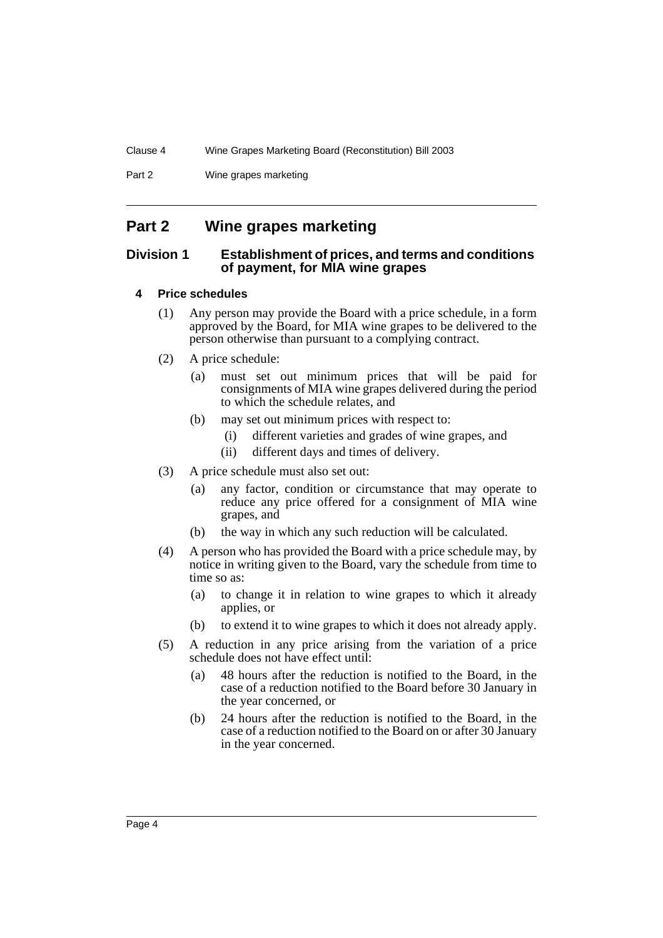Part 2 Wine grapes marketing

## **Part 2 Wine grapes marketing**

#### **Division 1 Establishment of prices, and terms and conditions of payment, for MIA wine grapes**

#### **4 Price schedules**

- (1) Any person may provide the Board with a price schedule, in a form approved by the Board, for MIA wine grapes to be delivered to the person otherwise than pursuant to a complying contract.
- (2) A price schedule:
	- (a) must set out minimum prices that will be paid for consignments of MIA wine grapes delivered during the period to which the schedule relates, and
	- (b) may set out minimum prices with respect to:
		- (i) different varieties and grades of wine grapes, and
		- (ii) different days and times of delivery.
- (3) A price schedule must also set out:
	- (a) any factor, condition or circumstance that may operate to reduce any price offered for a consignment of MIA wine grapes, and
	- (b) the way in which any such reduction will be calculated.
- (4) A person who has provided the Board with a price schedule may, by notice in writing given to the Board, vary the schedule from time to time so as:
	- (a) to change it in relation to wine grapes to which it already applies, or
	- (b) to extend it to wine grapes to which it does not already apply.
- (5) A reduction in any price arising from the variation of a price schedule does not have effect until:
	- (a) 48 hours after the reduction is notified to the Board, in the case of a reduction notified to the Board before 30 January in the year concerned, or
	- (b) 24 hours after the reduction is notified to the Board, in the case of a reduction notified to the Board on or after 30 January in the year concerned.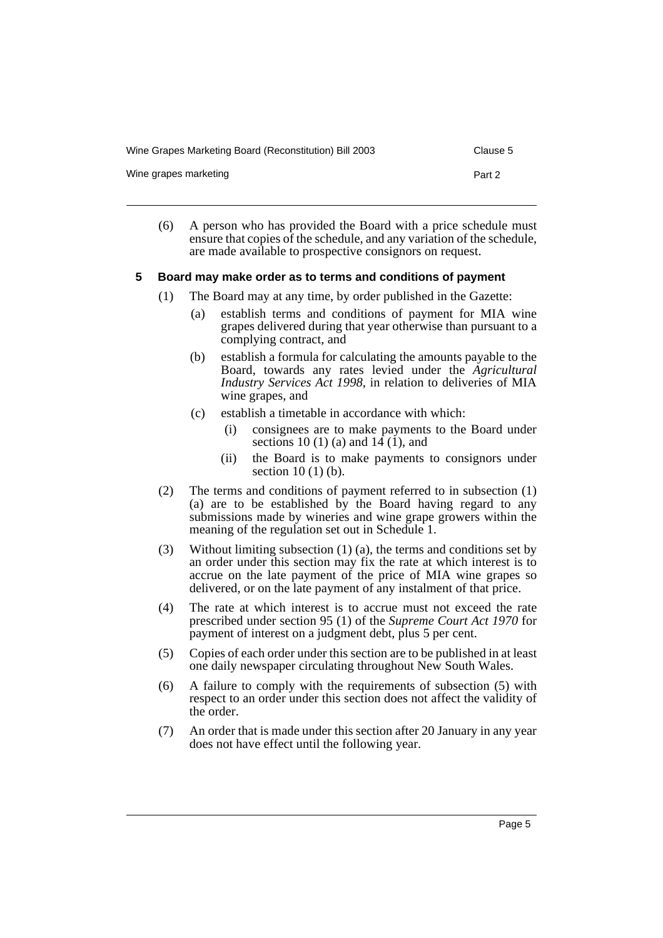Wine Grapes Marketing Board (Reconstitution) Bill 2003 Clause 5

Wine grapes marketing example of the example of the Part 2

(6) A person who has provided the Board with a price schedule must ensure that copies of the schedule, and any variation of the schedule, are made available to prospective consignors on request.

#### **5 Board may make order as to terms and conditions of payment**

- (1) The Board may at any time, by order published in the Gazette:
	- (a) establish terms and conditions of payment for MIA wine grapes delivered during that year otherwise than pursuant to a complying contract, and
	- (b) establish a formula for calculating the amounts payable to the Board, towards any rates levied under the *Agricultural Industry Services Act 1998*, in relation to deliveries of MIA wine grapes, and
	- (c) establish a timetable in accordance with which:
		- (i) consignees are to make payments to the Board under sections 10 (1) (a) and  $14(1)$ , and
		- (ii) the Board is to make payments to consignors under section  $10(1)(b)$ .
- (2) The terms and conditions of payment referred to in subsection (1) (a) are to be established by the Board having regard to any submissions made by wineries and wine grape growers within the meaning of the regulation set out in Schedule 1.
- (3) Without limiting subsection (1) (a), the terms and conditions set by an order under this section may fix the rate at which interest is to accrue on the late payment of the price of MIA wine grapes so delivered, or on the late payment of any instalment of that price.
- (4) The rate at which interest is to accrue must not exceed the rate prescribed under section 95 (1) of the *Supreme Court Act 1970* for payment of interest on a judgment debt, plus 5 per cent.
- (5) Copies of each order under this section are to be published in at least one daily newspaper circulating throughout New South Wales.
- (6) A failure to comply with the requirements of subsection (5) with respect to an order under this section does not affect the validity of the order.
- (7) An order that is made under this section after 20 January in any year does not have effect until the following year.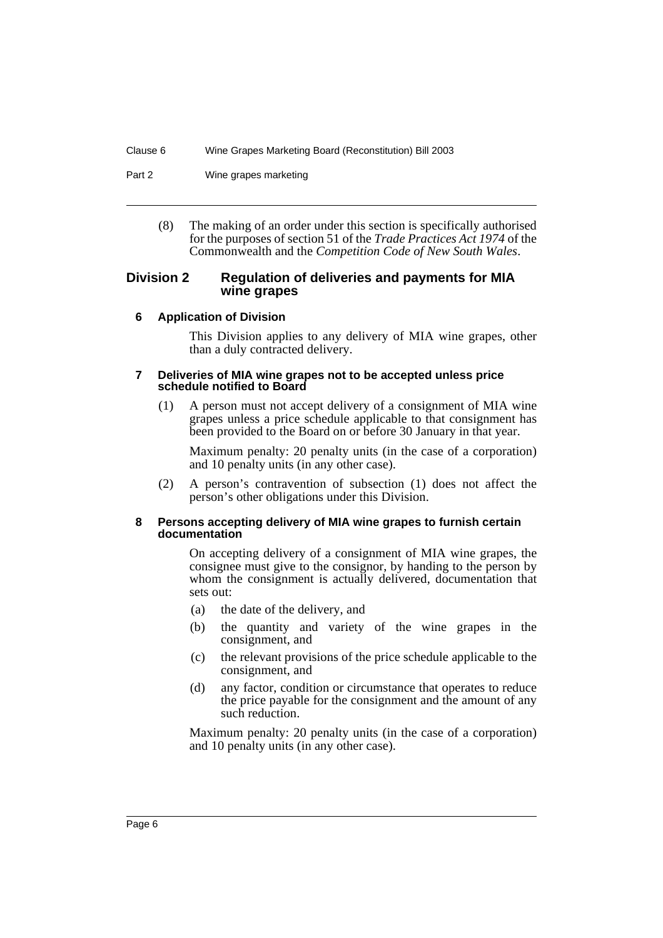Part 2 Wine grapes marketing

(8) The making of an order under this section is specifically authorised for the purposes of section 51 of the *Trade Practices Act 1974* of the Commonwealth and the *Competition Code of New South Wales*.

#### **Division 2 Regulation of deliveries and payments for MIA wine grapes**

#### **6 Application of Division**

This Division applies to any delivery of MIA wine grapes, other than a duly contracted delivery.

#### **7 Deliveries of MIA wine grapes not to be accepted unless price schedule notified to Board**

(1) A person must not accept delivery of a consignment of MIA wine grapes unless a price schedule applicable to that consignment has been provided to the Board on or before 30 January in that year.

Maximum penalty: 20 penalty units (in the case of a corporation) and 10 penalty units (in any other case).

(2) A person's contravention of subsection (1) does not affect the person's other obligations under this Division.

#### **8 Persons accepting delivery of MIA wine grapes to furnish certain documentation**

On accepting delivery of a consignment of MIA wine grapes, the consignee must give to the consignor, by handing to the person by whom the consignment is actually delivered, documentation that sets out:

- (a) the date of the delivery, and
- (b) the quantity and variety of the wine grapes in the consignment, and
- (c) the relevant provisions of the price schedule applicable to the consignment, and
- (d) any factor, condition or circumstance that operates to reduce the price payable for the consignment and the amount of any such reduction.

Maximum penalty: 20 penalty units (in the case of a corporation) and 10 penalty units (in any other case).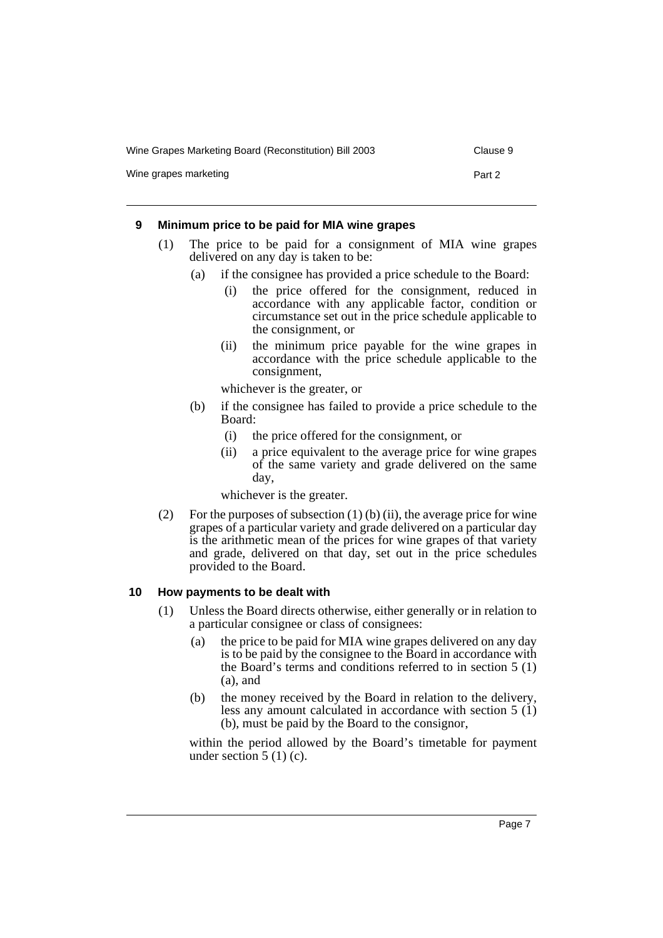Wine Grapes Marketing Board (Reconstitution) Bill 2003 Clause 9

Wine grapes marketing example of the example of the Part 2

#### **9 Minimum price to be paid for MIA wine grapes**

- (1) The price to be paid for a consignment of MIA wine grapes delivered on any day is taken to be:
	- (a) if the consignee has provided a price schedule to the Board:
		- (i) the price offered for the consignment, reduced in accordance with any applicable factor, condition or circumstance set out in the price schedule applicable to the consignment, or
		- (ii) the minimum price payable for the wine grapes in accordance with the price schedule applicable to the consignment,

whichever is the greater, or

- (b) if the consignee has failed to provide a price schedule to the Board:
	- (i) the price offered for the consignment, or
	- (ii) a price equivalent to the average price for wine grapes of the same variety and grade delivered on the same day,

whichever is the greater.

(2) For the purposes of subsection  $(1)$  (b) (ii), the average price for wine grapes of a particular variety and grade delivered on a particular day is the arithmetic mean of the prices for wine grapes of that variety and grade, delivered on that day, set out in the price schedules provided to the Board.

#### **10 How payments to be dealt with**

- (1) Unless the Board directs otherwise, either generally or in relation to a particular consignee or class of consignees:
	- (a) the price to be paid for MIA wine grapes delivered on any day is to be paid by the consignee to the Board in accordance with the Board's terms and conditions referred to in section 5 (1) (a), and
	- (b) the money received by the Board in relation to the delivery, less any amount calculated in accordance with section 5 (1) (b), must be paid by the Board to the consignor,

within the period allowed by the Board's timetable for payment under section  $5(1)(c)$ .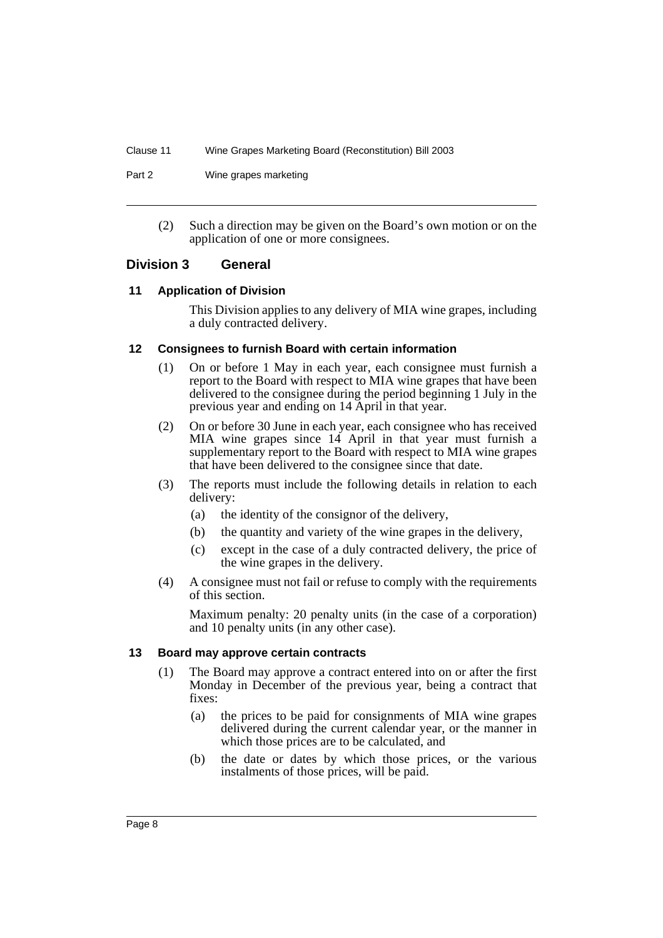Part 2 Wine grapes marketing

(2) Such a direction may be given on the Board's own motion or on the application of one or more consignees.

#### **Division 3 General**

#### **11 Application of Division**

This Division applies to any delivery of MIA wine grapes, including a duly contracted delivery.

#### **12 Consignees to furnish Board with certain information**

- (1) On or before 1 May in each year, each consignee must furnish a report to the Board with respect to MIA wine grapes that have been delivered to the consignee during the period beginning 1 July in the previous year and ending on 14 April in that year.
- (2) On or before 30 June in each year, each consignee who has received MIA wine grapes since 14 April in that year must furnish a supplementary report to the Board with respect to MIA wine grapes that have been delivered to the consignee since that date.
- (3) The reports must include the following details in relation to each delivery:
	- (a) the identity of the consignor of the delivery,
	- (b) the quantity and variety of the wine grapes in the delivery,
	- (c) except in the case of a duly contracted delivery, the price of the wine grapes in the delivery.
- (4) A consignee must not fail or refuse to comply with the requirements of this section.

Maximum penalty: 20 penalty units (in the case of a corporation) and 10 penalty units (in any other case).

#### **13 Board may approve certain contracts**

- (1) The Board may approve a contract entered into on or after the first Monday in December of the previous year, being a contract that fixes:
	- (a) the prices to be paid for consignments of MIA wine grapes delivered during the current calendar year, or the manner in which those prices are to be calculated, and
	- (b) the date or dates by which those prices, or the various instalments of those prices, will be paid.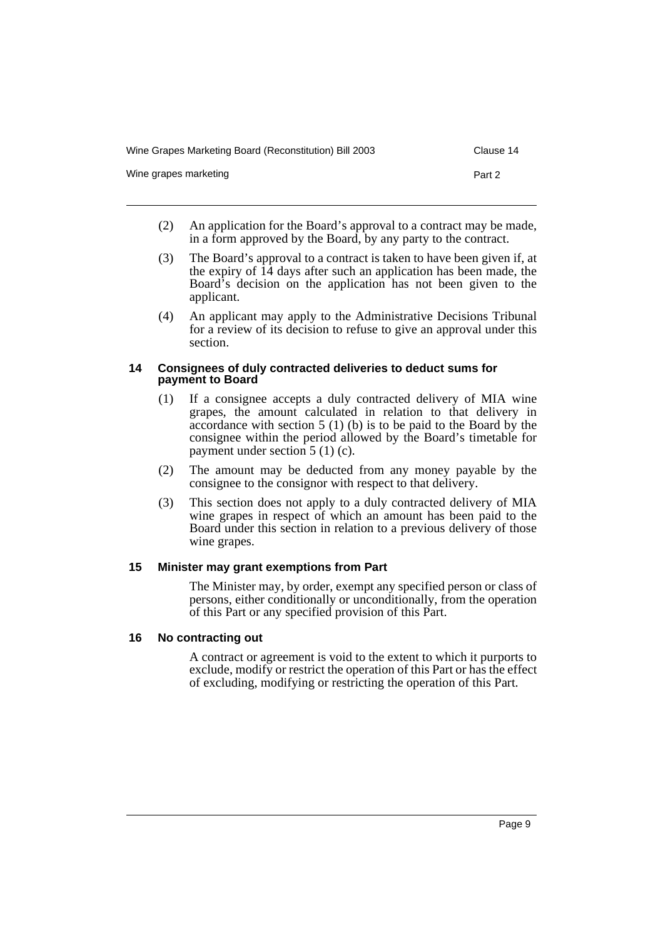| Wine Grapes Marketing Board (Reconstitution) Bill 2003 | Clause 14 |
|--------------------------------------------------------|-----------|
| Wine grapes marketing                                  | Part 2    |

- (2) An application for the Board's approval to a contract may be made, in a form approved by the Board, by any party to the contract.
- (3) The Board's approval to a contract is taken to have been given if, at the expiry of  $14$  days after such an application has been made, the Board's decision on the application has not been given to the applicant.
- (4) An applicant may apply to the Administrative Decisions Tribunal for a review of its decision to refuse to give an approval under this section.

#### **14 Consignees of duly contracted deliveries to deduct sums for payment to Board**

- (1) If a consignee accepts a duly contracted delivery of MIA wine grapes, the amount calculated in relation to that delivery in accordance with section 5 (1) (b) is to be paid to the Board by the consignee within the period allowed by the Board's timetable for payment under section 5 (1) (c).
- (2) The amount may be deducted from any money payable by the consignee to the consignor with respect to that delivery.
- (3) This section does not apply to a duly contracted delivery of MIA wine grapes in respect of which an amount has been paid to the Board under this section in relation to a previous delivery of those wine grapes.

#### **15 Minister may grant exemptions from Part**

The Minister may, by order, exempt any specified person or class of persons, either conditionally or unconditionally, from the operation of this Part or any specified provision of this Part.

#### **16 No contracting out**

A contract or agreement is void to the extent to which it purports to exclude, modify or restrict the operation of this Part or has the effect of excluding, modifying or restricting the operation of this Part.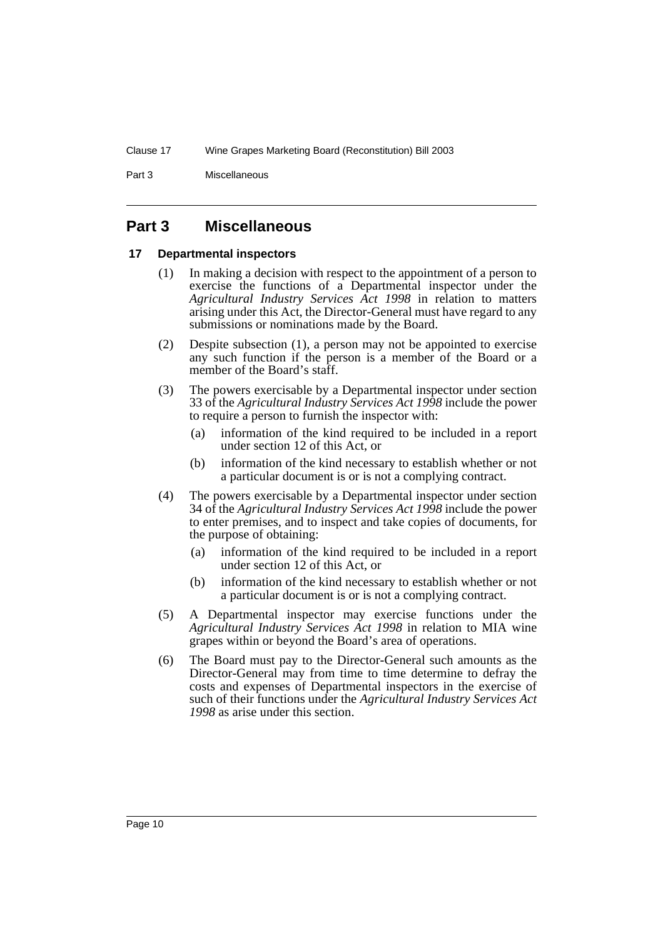Part 3 Miscellaneous

## **Part 3 Miscellaneous**

#### **17 Departmental inspectors**

- (1) In making a decision with respect to the appointment of a person to exercise the functions of a Departmental inspector under the *Agricultural Industry Services Act 1998* in relation to matters arising under this Act, the Director-General must have regard to any submissions or nominations made by the Board.
- (2) Despite subsection (1), a person may not be appointed to exercise any such function if the person is a member of the Board or a member of the Board's staff.
- (3) The powers exercisable by a Departmental inspector under section 33 of the *Agricultural Industry Services Act 1998* include the power to require a person to furnish the inspector with:
	- (a) information of the kind required to be included in a report under section 12 of this Act, or
	- (b) information of the kind necessary to establish whether or not a particular document is or is not a complying contract.
- (4) The powers exercisable by a Departmental inspector under section 34 of the *Agricultural Industry Services Act 1998* include the power to enter premises, and to inspect and take copies of documents, for the purpose of obtaining:
	- (a) information of the kind required to be included in a report under section 12 of this Act, or
	- (b) information of the kind necessary to establish whether or not a particular document is or is not a complying contract.
- (5) A Departmental inspector may exercise functions under the *Agricultural Industry Services Act 1998* in relation to MIA wine grapes within or beyond the Board's area of operations.
- (6) The Board must pay to the Director-General such amounts as the Director-General may from time to time determine to defray the costs and expenses of Departmental inspectors in the exercise of such of their functions under the *Agricultural Industry Services Act 1998* as arise under this section.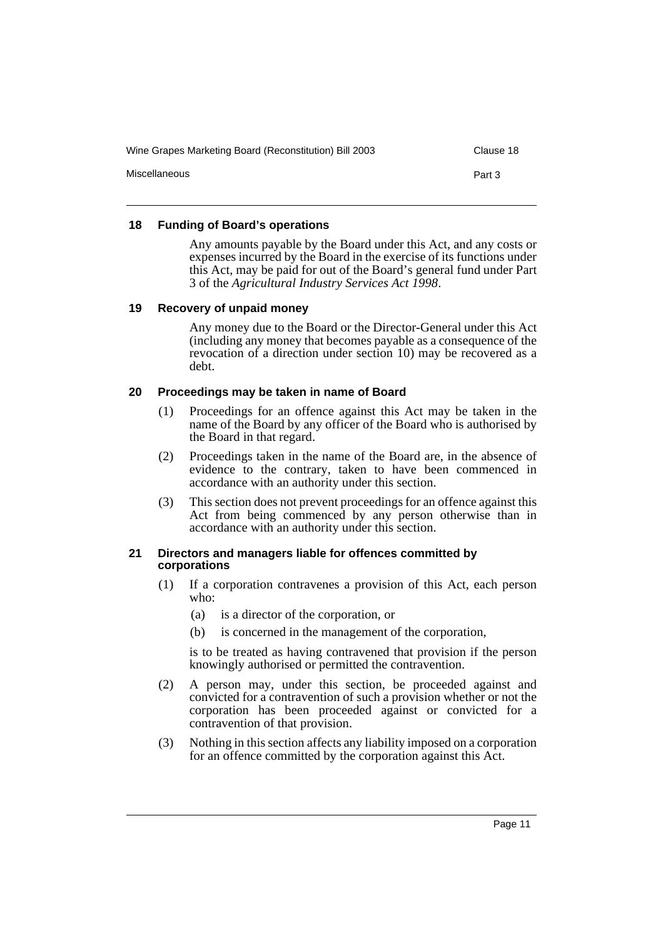| Wine Grapes Marketing Board (Reconstitution) Bill 2003 | Clause 18 |
|--------------------------------------------------------|-----------|
| Miscellaneous                                          | Part 3    |
|                                                        |           |

#### **18 Funding of Board's operations**

Any amounts payable by the Board under this Act, and any costs or expenses incurred by the Board in the exercise of its functions under this Act, may be paid for out of the Board's general fund under Part 3 of the *Agricultural Industry Services Act 1998*.

#### **19 Recovery of unpaid money**

Any money due to the Board or the Director-General under this Act (including any money that becomes payable as a consequence of the revocation of a direction under section 10) may be recovered as a debt.

#### **20 Proceedings may be taken in name of Board**

- (1) Proceedings for an offence against this Act may be taken in the name of the Board by any officer of the Board who is authorised by the Board in that regard.
- (2) Proceedings taken in the name of the Board are, in the absence of evidence to the contrary, taken to have been commenced in accordance with an authority under this section.
- (3) This section does not prevent proceedings for an offence against this Act from being commenced by any person otherwise than in accordance with an authority under this section.

#### **21 Directors and managers liable for offences committed by corporations**

- (1) If a corporation contravenes a provision of this Act, each person who:
	- (a) is a director of the corporation, or
	- (b) is concerned in the management of the corporation,

is to be treated as having contravened that provision if the person knowingly authorised or permitted the contravention.

- (2) A person may, under this section, be proceeded against and convicted for a contravention of such a provision whether or not the corporation has been proceeded against or convicted for a contravention of that provision.
- (3) Nothing in this section affects any liability imposed on a corporation for an offence committed by the corporation against this Act.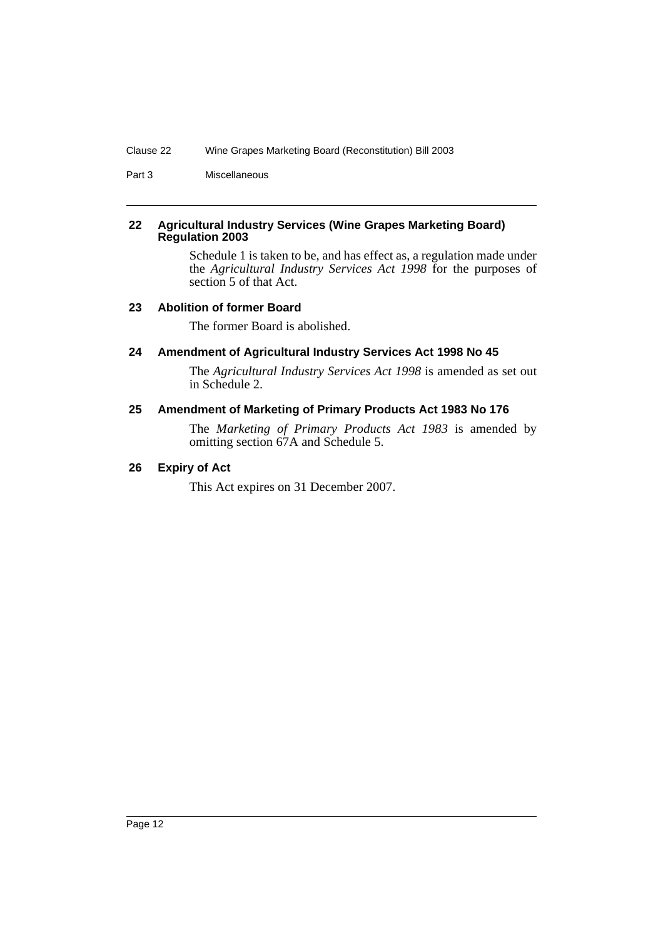Part 3 Miscellaneous

#### **22 Agricultural Industry Services (Wine Grapes Marketing Board) Regulation 2003**

Schedule 1 is taken to be, and has effect as, a regulation made under the *Agricultural Industry Services Act 1998* for the purposes of section 5 of that Act.

#### **23 Abolition of former Board**

The former Board is abolished.

#### **24 Amendment of Agricultural Industry Services Act 1998 No 45**

The *Agricultural Industry Services Act 1998* is amended as set out in Schedule 2.

#### **25 Amendment of Marketing of Primary Products Act 1983 No 176**

The *Marketing of Primary Products Act 1983* is amended by omitting section 67A and Schedule 5.

#### **26 Expiry of Act**

This Act expires on 31 December 2007.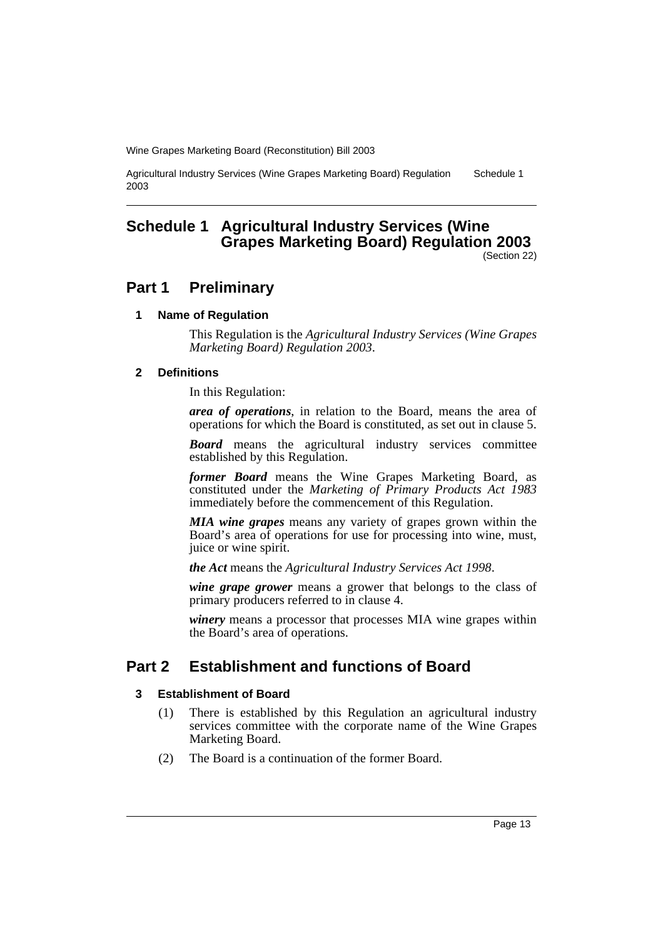Agricultural Industry Services (Wine Grapes Marketing Board) Regulation 2003 Schedule 1

## **Schedule 1 Agricultural Industry Services (Wine Grapes Marketing Board) Regulation 2003**

(Section 22)

## **Part 1 Preliminary**

#### **1 Name of Regulation**

This Regulation is the *Agricultural Industry Services (Wine Grapes Marketing Board) Regulation 2003*.

#### **2 Definitions**

In this Regulation:

*area of operations*, in relation to the Board, means the area of operations for which the Board is constituted, as set out in clause 5.

*Board* means the agricultural industry services committee established by this Regulation.

*former Board* means the Wine Grapes Marketing Board, as constituted under the *Marketing of Primary Products Act 1983* immediately before the commencement of this Regulation.

*MIA wine grapes* means any variety of grapes grown within the Board's area of operations for use for processing into wine, must, juice or wine spirit.

*the Act* means the *Agricultural Industry Services Act 1998*.

*wine grape grower* means a grower that belongs to the class of primary producers referred to in clause 4.

*winery* means a processor that processes MIA wine grapes within the Board's area of operations.

## **Part 2 Establishment and functions of Board**

#### **3 Establishment of Board**

- (1) There is established by this Regulation an agricultural industry services committee with the corporate name of the Wine Grapes Marketing Board.
- (2) The Board is a continuation of the former Board.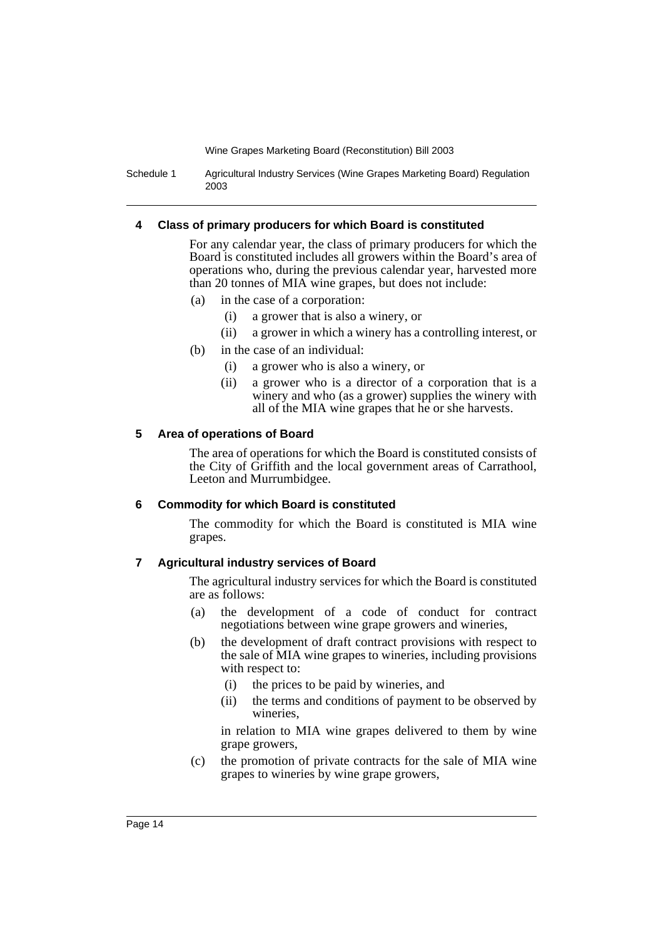Schedule 1 Agricultural Industry Services (Wine Grapes Marketing Board) Regulation 2003

#### **4 Class of primary producers for which Board is constituted**

For any calendar year, the class of primary producers for which the Board is constituted includes all growers within the Board's area of operations who, during the previous calendar year, harvested more than 20 tonnes of MIA wine grapes, but does not include:

- (a) in the case of a corporation:
	- (i) a grower that is also a winery, or
	- (ii) a grower in which a winery has a controlling interest, or
- (b) in the case of an individual:
	- (i) a grower who is also a winery, or
	- (ii) a grower who is a director of a corporation that is a winery and who (as a grower) supplies the winery with all of the MIA wine grapes that he or she harvests.

#### **5 Area of operations of Board**

The area of operations for which the Board is constituted consists of the City of Griffith and the local government areas of Carrathool, Leeton and Murrumbidgee.

#### **6 Commodity for which Board is constituted**

The commodity for which the Board is constituted is MIA wine grapes.

#### **7 Agricultural industry services of Board**

The agricultural industry services for which the Board is constituted are as follows:

- (a) the development of a code of conduct for contract negotiations between wine grape growers and wineries,
- (b) the development of draft contract provisions with respect to the sale of MIA wine grapes to wineries, including provisions with respect to:
	- (i) the prices to be paid by wineries, and
	- (ii) the terms and conditions of payment to be observed by wineries,

in relation to MIA wine grapes delivered to them by wine grape growers,

(c) the promotion of private contracts for the sale of MIA wine grapes to wineries by wine grape growers,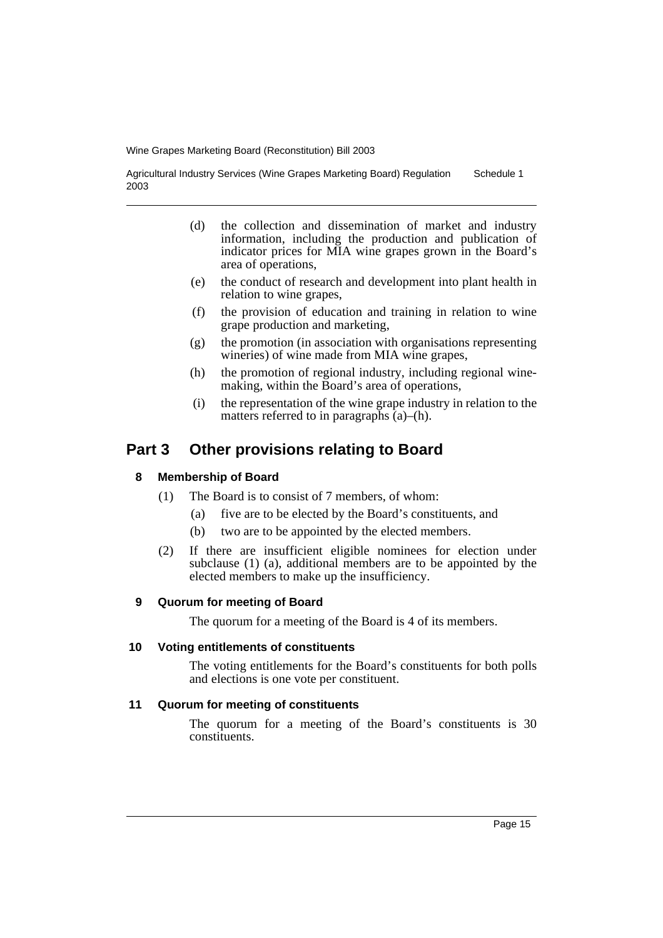Agricultural Industry Services (Wine Grapes Marketing Board) Regulation 2003 Schedule 1

- (d) the collection and dissemination of market and industry information, including the production and publication of indicator prices for MIA wine grapes grown in the Board's area of operations,
- (e) the conduct of research and development into plant health in relation to wine grapes,
- (f) the provision of education and training in relation to wine grape production and marketing,
- (g) the promotion (in association with organisations representing wineries) of wine made from MIA wine grapes,
- (h) the promotion of regional industry, including regional winemaking, within the Board's area of operations,
- (i) the representation of the wine grape industry in relation to the matters referred to in paragraphs (a)–(h).

## **Part 3 Other provisions relating to Board**

#### **8 Membership of Board**

- (1) The Board is to consist of 7 members, of whom:
	- (a) five are to be elected by the Board's constituents, and
	- (b) two are to be appointed by the elected members.
- (2) If there are insufficient eligible nominees for election under subclause (1) (a), additional members are to be appointed by the elected members to make up the insufficiency.

#### **9 Quorum for meeting of Board**

The quorum for a meeting of the Board is 4 of its members.

#### **10 Voting entitlements of constituents**

The voting entitlements for the Board's constituents for both polls and elections is one vote per constituent.

#### **11 Quorum for meeting of constituents**

The quorum for a meeting of the Board's constituents is 30 constituents.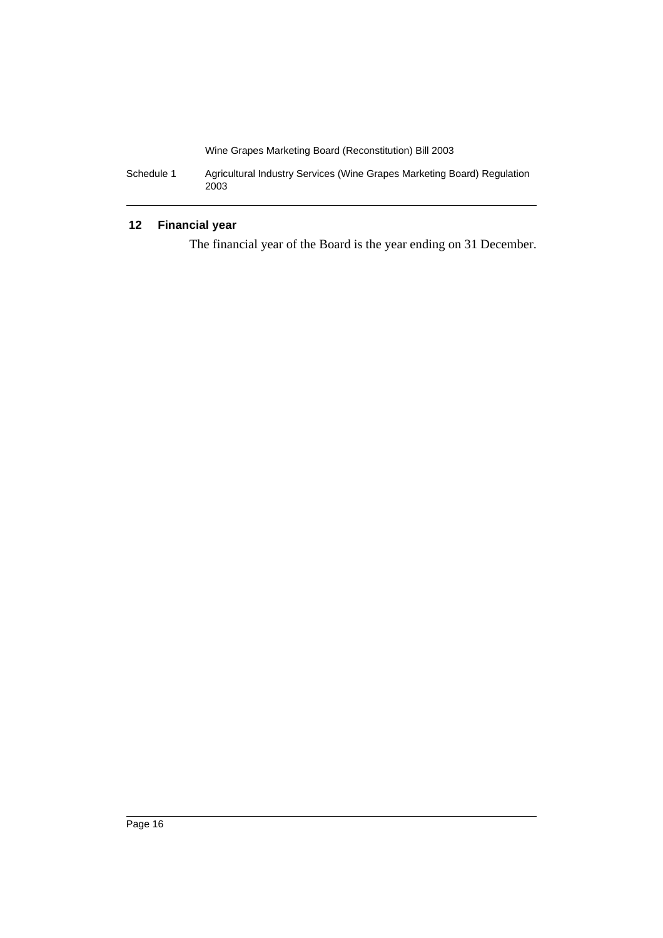Schedule 1 Agricultural Industry Services (Wine Grapes Marketing Board) Regulation 2003

### **12 Financial year**

The financial year of the Board is the year ending on 31 December.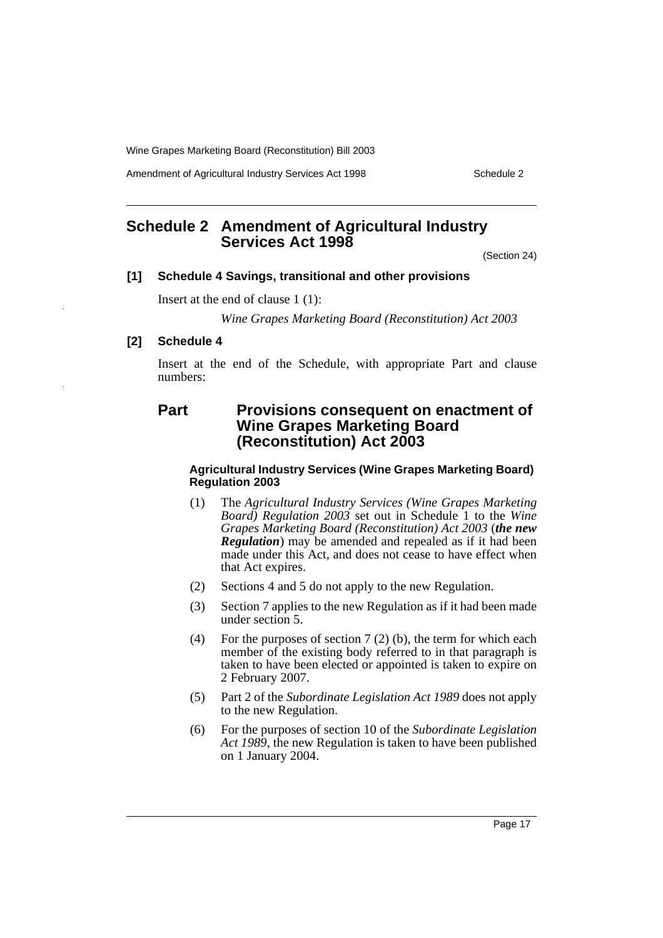Amendment of Agricultural Industry Services Act 1998 Schedule 2

## **Schedule 2 Amendment of Agricultural Industry Services Act 1998**

(Section 24)

#### **[1] Schedule 4 Savings, transitional and other provisions**

Insert at the end of clause 1 (1):

*Wine Grapes Marketing Board (Reconstitution) Act 2003*

#### **[2] Schedule 4**

Insert at the end of the Schedule, with appropriate Part and clause numbers:

### **Part Provisions consequent on enactment of Wine Grapes Marketing Board (Reconstitution) Act 2003**

#### **Agricultural Industry Services (Wine Grapes Marketing Board) Regulation 2003**

- (1) The *Agricultural Industry Services (Wine Grapes Marketing Board) Regulation 2003* set out in Schedule 1 to the *Wine Grapes Marketing Board (Reconstitution) Act 2003* (*the new Regulation*) may be amended and repealed as if it had been made under this Act, and does not cease to have effect when that Act expires.
- (2) Sections 4 and 5 do not apply to the new Regulation.
- (3) Section 7 applies to the new Regulation as if it had been made under section 5.
- (4) For the purposes of section 7 (2) (b), the term for which each member of the existing body referred to in that paragraph is taken to have been elected or appointed is taken to expire on 2 February 2007.
- (5) Part 2 of the *Subordinate Legislation Act 1989* does not apply to the new Regulation.
- (6) For the purposes of section 10 of the *Subordinate Legislation Act 1989*, the new Regulation is taken to have been published on 1 January 2004.